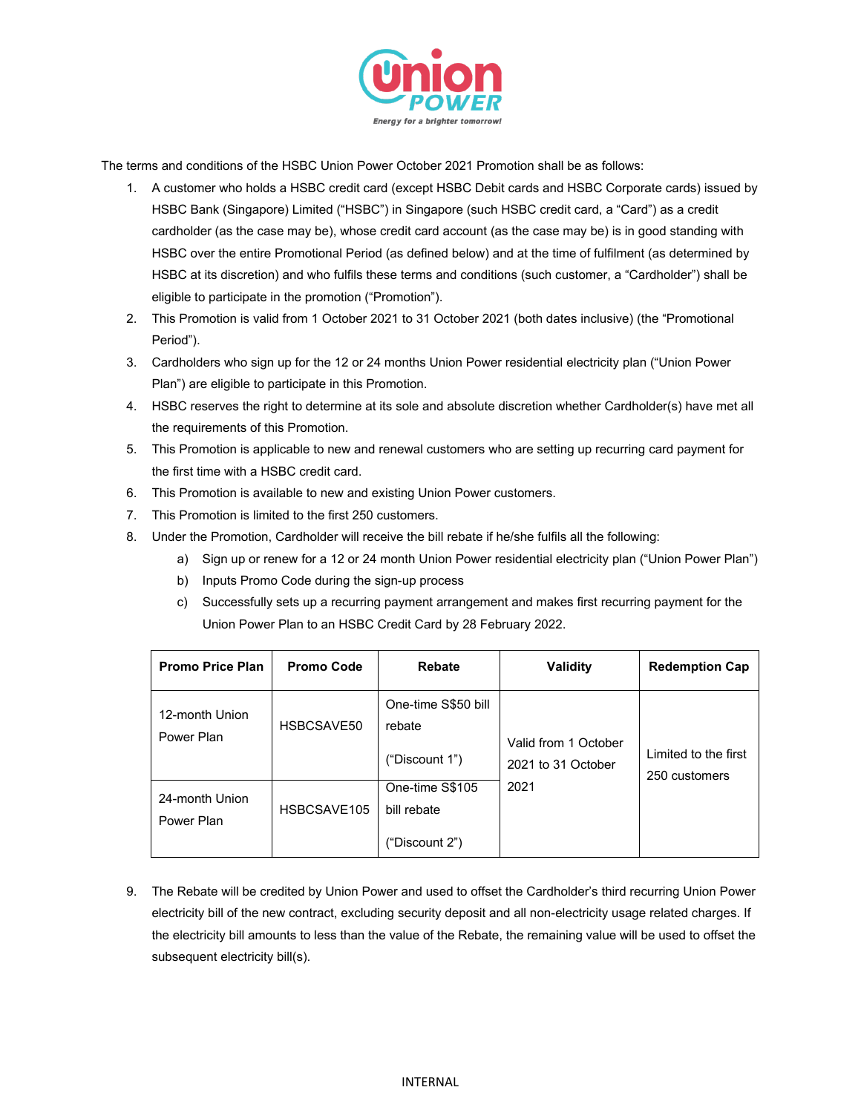

The terms and conditions of the HSBC Union Power October 2021 Promotion shall be as follows:

- 1. A customer who holds a HSBC credit card (except HSBC Debit cards and HSBC Corporate cards) issued by HSBC Bank (Singapore) Limited ("HSBC") in Singapore (such HSBC credit card, a "Card") as a credit cardholder (as the case may be), whose credit card account (as the case may be) is in good standing with HSBC over the entire Promotional Period (as defined below) and at the time of fulfilment (as determined by HSBC at its discretion) and who fulfils these terms and conditions (such customer, a "Cardholder") shall be eligible to participate in the promotion ("Promotion").
- 2. This Promotion is valid from 1 October 2021 to 31 October 2021 (both dates inclusive) (the "Promotional Period").
- 3. Cardholders who sign up for the 12 or 24 months Union Power residential electricity plan ("Union Power Plan") are eligible to participate in this Promotion.
- 4. HSBC reserves the right to determine at its sole and absolute discretion whether Cardholder(s) have met all the requirements of this Promotion.
- 5. This Promotion is applicable to new and renewal customers who are setting up recurring card payment for the first time with a HSBC credit card.
- 6. This Promotion is available to new and existing Union Power customers.
- 7. This Promotion is limited to the first 250 customers.
- 8. Under the Promotion, Cardholder will receive the bill rebate if he/she fulfils all the following:
	- a) Sign up or renew for a 12 or 24 month Union Power residential electricity plan ("Union Power Plan")
	- b) Inputs Promo Code during the sign-up process
	- c) Successfully sets up a recurring payment arrangement and makes first recurring payment for the Union Power Plan to an HSBC Credit Card by 28 February 2022.

| <b>Promo Price Plan</b>      | <b>Promo Code</b> | <b>Rebate</b>                                    | <b>Validity</b>                                    | <b>Redemption Cap</b>                 |
|------------------------------|-------------------|--------------------------------------------------|----------------------------------------------------|---------------------------------------|
| 12-month Union<br>Power Plan | HSBCSAVE50        | One-time S\$50 bill<br>rebate<br>("Discount 1")  | Valid from 1 October<br>2021 to 31 October<br>2021 | Limited to the first<br>250 customers |
| 24-month Union<br>Power Plan | HSBCSAVE105       | One-time S\$105<br>bill rebate<br>("Discount 2") |                                                    |                                       |

9. The Rebate will be credited by Union Power and used to offset the Cardholder's third recurring Union Power electricity bill of the new contract, excluding security deposit and all non-electricity usage related charges. If the electricity bill amounts to less than the value of the Rebate, the remaining value will be used to offset the subsequent electricity bill(s).